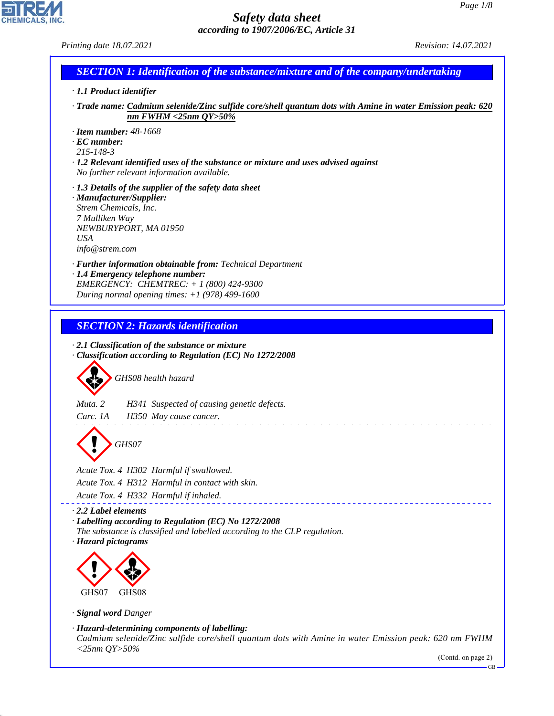GB

# *Safety data sheet according to 1907/2006/EC, Article 31*

CHEMICALS, INC.

44.1.1

| Printing date 18.07.2021                                                                                                                                                                                         | Revision: 14.07.2021 |
|------------------------------------------------------------------------------------------------------------------------------------------------------------------------------------------------------------------|----------------------|
| <b>SECTION 1: Identification of the substance/mixture and of the company/undertaking</b>                                                                                                                         |                      |
| · 1.1 Product identifier                                                                                                                                                                                         |                      |
| Trade name: Cadmium selenide/Zinc sulfide core/shell quantum dots with Amine in water Emission peak: 620 ·<br>nm FWHM <25nm $QY>50\%$                                                                            |                      |
| $\cdot$ Item number: 48-1668<br>$\cdot$ EC number:<br>$215 - 148 - 3$<br>$\cdot$ 1.2 Relevant identified uses of the substance or mixture and uses advised against<br>No further relevant information available. |                      |
| $\cdot$ 1.3 Details of the supplier of the safety data sheet<br>· Manufacturer/Supplier:<br>Strem Chemicals, Inc.<br>7 Mulliken Way<br>NEWBURYPORT, MA 01950<br><b>USA</b><br>info@strem.com                     |                      |
| · <b>Further information obtainable from:</b> Technical Department<br>· 1.4 Emergency telephone number:<br>EMERGENCY: CHEMTREC: $+ 1 (800) 424 - 9300$<br>During normal opening times: $+1$ (978) 499-1600       |                      |
| <b>SECTION 2: Hazards identification</b>                                                                                                                                                                         |                      |
| $\cdot$ 2.1 Classification of the substance or mixture<br>Classification according to Regulation (EC) No 1272/2008<br>GHS08 health hazard                                                                        |                      |
| Muta. 2<br>H341 Suspected of causing genetic defects.<br>Carc. 1A<br>H350 May cause cancer.                                                                                                                      |                      |
| GHS07                                                                                                                                                                                                            |                      |
| Acute Tox. 4 H302 Harmful if swallowed.<br>Acute Tox. 4 H312 Harmful in contact with skin.<br>Acute Tox. 4 H332 Harmful if inhaled.                                                                              |                      |
| $\cdot$ 2.2 Label elements<br>· Labelling according to Regulation (EC) No 1272/2008<br>The substance is classified and labelled according to the CLP regulation.<br>· Hazard pictograms                          |                      |
|                                                                                                                                                                                                                  |                      |
| GHS07<br>GHS08                                                                                                                                                                                                   |                      |
| · Signal word Danger                                                                                                                                                                                             |                      |
| · Hazard-determining components of labelling:<br>Cadmium selenide/Zinc sulfide core/shell quantum dots with Amine in water Emission peak: 620 nm FWHM<br>$<$ 25nm QY>50%                                         | (Contd. on page 2)   |
|                                                                                                                                                                                                                  |                      |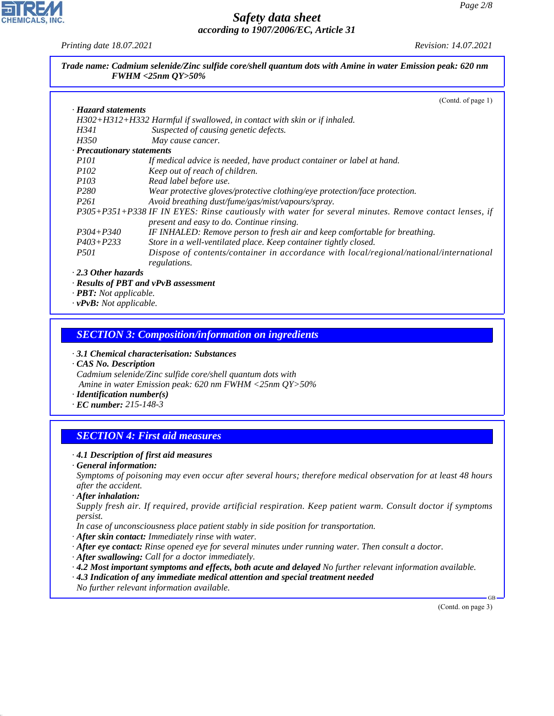*Printing date 18.07.2021 Revision: 14.07.2021*

*Trade name: Cadmium selenide/Zinc sulfide core/shell quantum dots with Amine in water Emission peak: 620 nm FWHM <25nm QY>50%*

|                            | (Contd. of page 1)                                                                                    |
|----------------------------|-------------------------------------------------------------------------------------------------------|
| · Hazard statements        |                                                                                                       |
|                            | H302+H312+H332 Harmful if swallowed, in contact with skin or if inhaled.                              |
| H341                       | Suspected of causing genetic defects.                                                                 |
| <i>H350</i>                | May cause cancer.                                                                                     |
| · Precautionary statements |                                                                                                       |
| <i>P101</i>                | If medical advice is needed, have product container or label at hand.                                 |
| <i>P102</i>                | Keep out of reach of children.                                                                        |
| <i>P103</i>                | Read label before use.                                                                                |
| P280                       | Wear protective gloves/protective clothing/eye protection/face protection.                            |
| P261                       | Avoid breathing dust/fume/gas/mist/vapours/spray.                                                     |
|                            | P305+P351+P338 IF IN EYES: Rinse cautiously with water for several minutes. Remove contact lenses, if |
|                            | present and easy to do. Continue rinsing.                                                             |
| $P304 + P340$              | IF INHALED: Remove person to fresh air and keep comfortable for breathing.                            |
| $P403 + P233$              | Store in a well-ventilated place. Keep container tightly closed.                                      |
| <i>P501</i>                | Dispose of contents/container in accordance with local/regional/national/international                |
|                            | regulations.                                                                                          |
| $\cdot$ 2.3 Other hazards  |                                                                                                       |
|                            | · Results of PBT and vPvB assessment                                                                  |

*· PBT: Not applicable.*

*· vPvB: Not applicable.*

## *SECTION 3: Composition/information on ingredients*

*· 3.1 Chemical characterisation: Substances*

*· CAS No. Description Cadmium selenide/Zinc sulfide core/shell quantum dots with Amine in water Emission peak: 620 nm FWHM <25nm QY>50%*

*· Identification number(s)*

*· EC number: 215-148-3*

# *SECTION 4: First aid measures*

### *· 4.1 Description of first aid measures*

*· General information:*

*Symptoms of poisoning may even occur after several hours; therefore medical observation for at least 48 hours after the accident.*

*· After inhalation:*

44.1.1

*Supply fresh air. If required, provide artificial respiration. Keep patient warm. Consult doctor if symptoms persist.*

*In case of unconsciousness place patient stably in side position for transportation.*

- *· After skin contact: Immediately rinse with water.*
- *· After eye contact: Rinse opened eye for several minutes under running water. Then consult a doctor.*
- *· After swallowing: Call for a doctor immediately.*
- *· 4.2 Most important symptoms and effects, both acute and delayed No further relevant information available.*
- *· 4.3 Indication of any immediate medical attention and special treatment needed*
- *No further relevant information available.*

(Contd. on page 3)

GB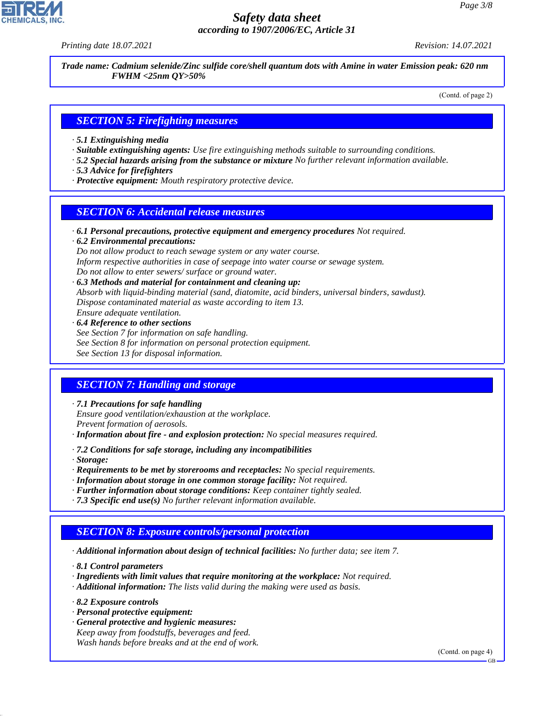*Printing date 18.07.2021 Revision: 14.07.2021*

*Trade name: Cadmium selenide/Zinc sulfide core/shell quantum dots with Amine in water Emission peak: 620 nm FWHM <25nm QY>50%*

(Contd. of page 2)

## *SECTION 5: Firefighting measures*

- *· 5.1 Extinguishing media*
- *· Suitable extinguishing agents: Use fire extinguishing methods suitable to surrounding conditions.*
- *· 5.2 Special hazards arising from the substance or mixture No further relevant information available.*
- *· 5.3 Advice for firefighters*
- *· Protective equipment: Mouth respiratory protective device.*

## *SECTION 6: Accidental release measures*

*· 6.1 Personal precautions, protective equipment and emergency procedures Not required.*

*· 6.2 Environmental precautions: Do not allow product to reach sewage system or any water course. Inform respective authorities in case of seepage into water course or sewage system. Do not allow to enter sewers/ surface or ground water.*

- *· 6.3 Methods and material for containment and cleaning up: Absorb with liquid-binding material (sand, diatomite, acid binders, universal binders, sawdust). Dispose contaminated material as waste according to item 13. Ensure adequate ventilation.*
- *· 6.4 Reference to other sections See Section 7 for information on safe handling. See Section 8 for information on personal protection equipment. See Section 13 for disposal information.*

# *SECTION 7: Handling and storage*

*· 7.1 Precautions for safe handling*

*Ensure good ventilation/exhaustion at the workplace.*

*Prevent formation of aerosols.*

- *· Information about fire and explosion protection: No special measures required.*
- *· 7.2 Conditions for safe storage, including any incompatibilities*

*· Storage:*

- *· Requirements to be met by storerooms and receptacles: No special requirements.*
- *· Information about storage in one common storage facility: Not required.*
- *· Further information about storage conditions: Keep container tightly sealed.*
- *· 7.3 Specific end use(s) No further relevant information available.*

# *SECTION 8: Exposure controls/personal protection*

*· Additional information about design of technical facilities: No further data; see item 7.*

*· 8.1 Control parameters*

- *· Ingredients with limit values that require monitoring at the workplace: Not required.*
- *· Additional information: The lists valid during the making were used as basis.*
- *· 8.2 Exposure controls*

44.1.1

- *· Personal protective equipment:*
- *· General protective and hygienic measures: Keep away from foodstuffs, beverages and feed. Wash hands before breaks and at the end of work.*

(Contd. on page 4)

GB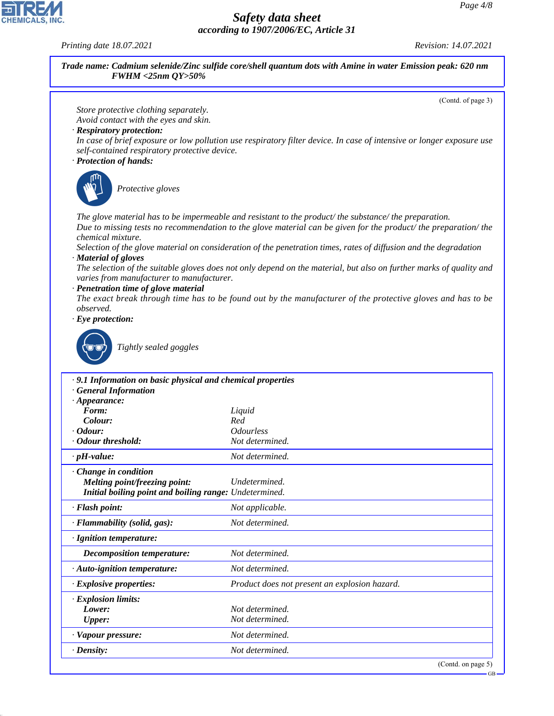GB

# *Safety data sheet according to 1907/2006/EC, Article 31*

*Printing date 18.07.2021 Revision: 14.07.2021*

44.1.1

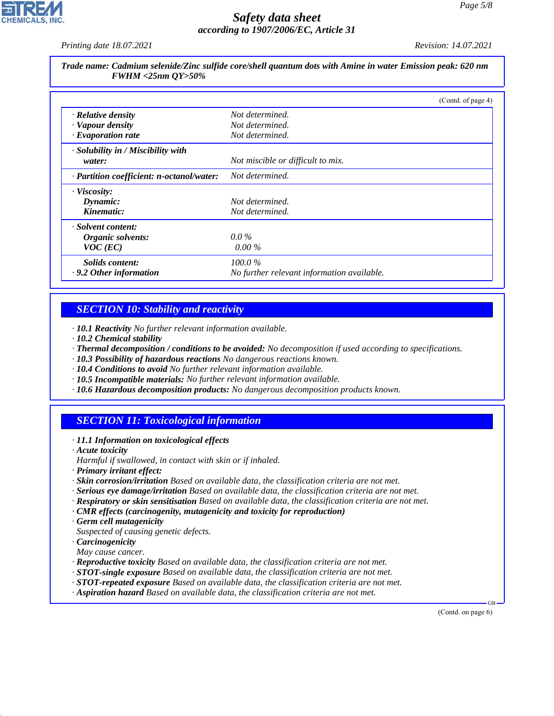*Printing date 18.07.2021 Revision: 14.07.2021*

*Trade name: Cadmium selenide/Zinc sulfide core/shell quantum dots with Amine in water Emission peak: 620 nm FWHM <25nm QY>50%*

|                                           | (Contd. of page 4)                         |
|-------------------------------------------|--------------------------------------------|
| $\cdot$ Relative density                  | Not determined.                            |
| · Vapour density                          | Not determined.                            |
| $\cdot$ Evaporation rate                  | Not determined.                            |
| $\cdot$ Solubility in / Miscibility with  |                                            |
| water:                                    | Not miscible or difficult to mix.          |
| · Partition coefficient: n-octanol/water: | Not determined.                            |
| · Viscosity:                              |                                            |
| Dynamic:                                  | Not determined.                            |
| Kinematic:                                | Not determined.                            |
| · Solvent content:                        |                                            |
| Organic solvents:                         | $0.0\%$                                    |
| $VOC$ (EC)                                | $0.00\%$                                   |
| Solids content:                           | $100.0\%$                                  |
| $\cdot$ 9.2 Other information             | No further relevant information available. |

# *SECTION 10: Stability and reactivity*

*· 10.1 Reactivity No further relevant information available.*

- *· 10.2 Chemical stability*
- *· Thermal decomposition / conditions to be avoided: No decomposition if used according to specifications.*
- *· 10.3 Possibility of hazardous reactions No dangerous reactions known.*
- *· 10.4 Conditions to avoid No further relevant information available.*
- *· 10.5 Incompatible materials: No further relevant information available.*
- *· 10.6 Hazardous decomposition products: No dangerous decomposition products known.*

# *SECTION 11: Toxicological information*

- *· 11.1 Information on toxicological effects*
- *· Acute toxicity*
- *Harmful if swallowed, in contact with skin or if inhaled.*
- *· Primary irritant effect:*
- *· Skin corrosion/irritation Based on available data, the classification criteria are not met.*
- *· Serious eye damage/irritation Based on available data, the classification criteria are not met.*
- *· Respiratory or skin sensitisation Based on available data, the classification criteria are not met.*
- *· CMR effects (carcinogenity, mutagenicity and toxicity for reproduction)*
- *· Germ cell mutagenicity*
- *Suspected of causing genetic defects.*
- *· Carcinogenicity*
- *May cause cancer.*

44.1.1

- *· Reproductive toxicity Based on available data, the classification criteria are not met.*
- *· STOT-single exposure Based on available data, the classification criteria are not met.*
- *· STOT-repeated exposure Based on available data, the classification criteria are not met.*
- *· Aspiration hazard Based on available data, the classification criteria are not met.*

(Contd. on page 6)

GB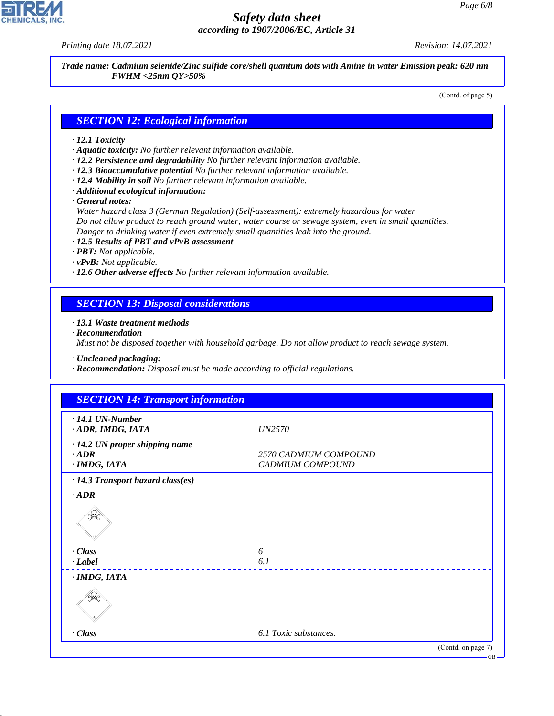44.1.1

# *Safety data sheet according to 1907/2006/EC, Article 31*

*Printing date 18.07.2021 Revision: 14.07.2021*

*Trade name: Cadmium selenide/Zinc sulfide core/shell quantum dots with Amine in water Emission peak: 620 nm FWHM <25nm QY>50%*

(Contd. of page 5)

## *SECTION 12: Ecological information*

### *· 12.1 Toxicity*

- *· Aquatic toxicity: No further relevant information available.*
- *· 12.2 Persistence and degradability No further relevant information available.*
- *· 12.3 Bioaccumulative potential No further relevant information available.*
- *· 12.4 Mobility in soil No further relevant information available.*
- *· Additional ecological information:*
- *· General notes:*

*Water hazard class 3 (German Regulation) (Self-assessment): extremely hazardous for water Do not allow product to reach ground water, water course or sewage system, even in small quantities. Danger to drinking water if even extremely small quantities leak into the ground.*

*· 12.5 Results of PBT and vPvB assessment*

- *· PBT: Not applicable.*
- *· vPvB: Not applicable.*
- *· 12.6 Other adverse effects No further relevant information available.*

## *SECTION 13: Disposal considerations*

### *· 13.1 Waste treatment methods*

*· Recommendation*

*Must not be disposed together with household garbage. Do not allow product to reach sewage system.*

*· Uncleaned packaging:*

*· Recommendation: Disposal must be made according to official regulations.*

| <b>SECTION 14: Transport information</b>  |                    |
|-------------------------------------------|--------------------|
| <b>UN2570</b>                             |                    |
| 2570 CADMIUM COMPOUND<br>CADMIUM COMPOUND |                    |
|                                           |                    |
|                                           |                    |
|                                           |                    |
| 6                                         |                    |
|                                           |                    |
|                                           |                    |
|                                           |                    |
| 6.1 Toxic substances.                     |                    |
|                                           | (Contd. on page 7) |
|                                           | 6.1                |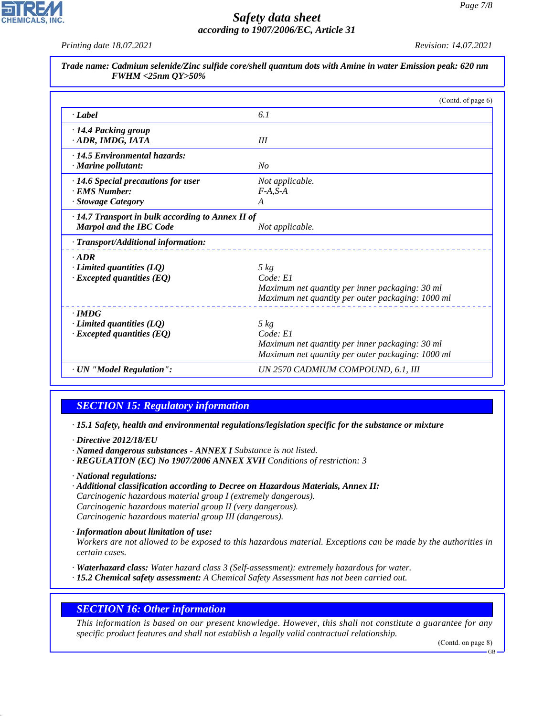*Printing date 18.07.2021 Revision: 14.07.2021*

|                                                            | (Contd. of page 6)                                |
|------------------------------------------------------------|---------------------------------------------------|
| · Label                                                    | 6.1                                               |
| · 14.4 Packing group<br>· ADR, IMDG, IATA                  | III                                               |
| · 14.5 Environmental hazards:<br>$\cdot$ Marine pollutant: | No                                                |
| · 14.6 Special precautions for user                        | Not applicable.                                   |
| · EMS Number:                                              | $F-A.S-A$                                         |
| · Stowage Category                                         | A                                                 |
| $\cdot$ 14.7 Transport in bulk according to Annex II of    |                                                   |
| <b>Marpol and the IBC Code</b>                             | Not applicable.                                   |
| · Transport/Additional information:                        |                                                   |
| $-ADR$                                                     |                                                   |
| $\cdot$ Limited quantities (LQ)                            | $5 \ kg$                                          |
| $\cdot$ Excepted quantities (EQ)                           | Code: El                                          |
|                                                            | Maximum net quantity per inner packaging: 30 ml   |
|                                                            | Maximum net quantity per outer packaging: 1000 ml |
| $\cdot$ IMDG                                               |                                                   |
| $\cdot$ Limited quantities (LQ)                            | $5 \ kg$                                          |
| $\cdot$ Excepted quantities (EQ)                           | Code: El                                          |
|                                                            | Maximum net quantity per inner packaging: 30 ml   |
|                                                            | Maximum net quantity per outer packaging: 1000 ml |
| · UN "Model Regulation":                                   | UN 2570 CADMIUM COMPOUND, 6.1, III                |

# *SECTION 15: Regulatory information*

*· 15.1 Safety, health and environmental regulations/legislation specific for the substance or mixture*

*· Directive 2012/18/EU*

- *· Named dangerous substances ANNEX I Substance is not listed.*
- *· REGULATION (EC) No 1907/2006 ANNEX XVII Conditions of restriction: 3*

*· National regulations:*

44.1.1

*· Additional classification according to Decree on Hazardous Materials, Annex II: Carcinogenic hazardous material group I (extremely dangerous). Carcinogenic hazardous material group II (very dangerous). Carcinogenic hazardous material group III (dangerous).*

*· Information about limitation of use:*

*Workers are not allowed to be exposed to this hazardous material. Exceptions can be made by the authorities in certain cases.*

- *· Waterhazard class: Water hazard class 3 (Self-assessment): extremely hazardous for water.*
- *· 15.2 Chemical safety assessment: A Chemical Safety Assessment has not been carried out.*

## *SECTION 16: Other information*

*This information is based on our present knowledge. However, this shall not constitute a guarantee for any specific product features and shall not establish a legally valid contractual relationship.*

(Contd. on page 8)

GB